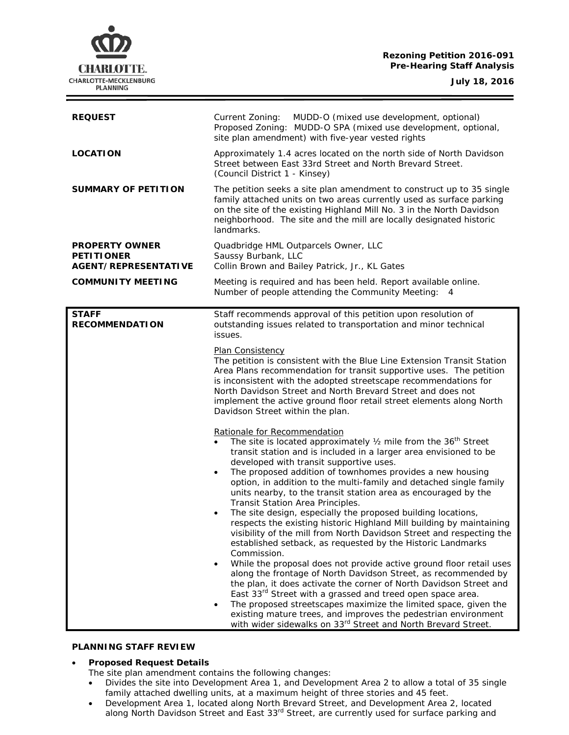### **Rezoning Petition 2016-091 Pre-Hearing Staff Analysis**

**CHARLOTTE.** CHARLOTTE-MECKLENBURG **PLANNING** 

**July 18, 2016**

| <b>REQUEST</b>                                                     | Current Zoning:<br>MUDD-O (mixed use development, optional)<br>Proposed Zoning: MUDD-O SPA (mixed use development, optional,<br>site plan amendment) with five-year vested rights                                                                                                                                                                                                                                                                                                                                                                                                                                                                                                                                                                                                                                                                                                                                                                                                                                                                                                                                                                                                                                                                                                                                                                                                                                                                                                                                                                                                                                                                                                                                                                                                                                                    |
|--------------------------------------------------------------------|--------------------------------------------------------------------------------------------------------------------------------------------------------------------------------------------------------------------------------------------------------------------------------------------------------------------------------------------------------------------------------------------------------------------------------------------------------------------------------------------------------------------------------------------------------------------------------------------------------------------------------------------------------------------------------------------------------------------------------------------------------------------------------------------------------------------------------------------------------------------------------------------------------------------------------------------------------------------------------------------------------------------------------------------------------------------------------------------------------------------------------------------------------------------------------------------------------------------------------------------------------------------------------------------------------------------------------------------------------------------------------------------------------------------------------------------------------------------------------------------------------------------------------------------------------------------------------------------------------------------------------------------------------------------------------------------------------------------------------------------------------------------------------------------------------------------------------------|
| <b>LOCATION</b>                                                    | Approximately 1.4 acres located on the north side of North Davidson<br>Street between East 33rd Street and North Brevard Street.<br>(Council District 1 - Kinsey)                                                                                                                                                                                                                                                                                                                                                                                                                                                                                                                                                                                                                                                                                                                                                                                                                                                                                                                                                                                                                                                                                                                                                                                                                                                                                                                                                                                                                                                                                                                                                                                                                                                                    |
| <b>SUMMARY OF PETITION</b>                                         | The petition seeks a site plan amendment to construct up to 35 single<br>family attached units on two areas currently used as surface parking<br>on the site of the existing Highland Mill No. 3 in the North Davidson<br>neighborhood. The site and the mill are locally designated historic<br>landmarks.                                                                                                                                                                                                                                                                                                                                                                                                                                                                                                                                                                                                                                                                                                                                                                                                                                                                                                                                                                                                                                                                                                                                                                                                                                                                                                                                                                                                                                                                                                                          |
| <b>PROPERTY OWNER</b><br><b>PETITIONER</b><br>AGENT/REPRESENTATIVE | Quadbridge HML Outparcels Owner, LLC<br>Saussy Burbank, LLC<br>Collin Brown and Bailey Patrick, Jr., KL Gates                                                                                                                                                                                                                                                                                                                                                                                                                                                                                                                                                                                                                                                                                                                                                                                                                                                                                                                                                                                                                                                                                                                                                                                                                                                                                                                                                                                                                                                                                                                                                                                                                                                                                                                        |
| <b>COMMUNITY MEETING</b>                                           | Meeting is required and has been held. Report available online.<br>Number of people attending the Community Meeting: 4                                                                                                                                                                                                                                                                                                                                                                                                                                                                                                                                                                                                                                                                                                                                                                                                                                                                                                                                                                                                                                                                                                                                                                                                                                                                                                                                                                                                                                                                                                                                                                                                                                                                                                               |
| <b>STAFF</b><br><b>RECOMMENDATION</b>                              | Staff recommends approval of this petition upon resolution of<br>outstanding issues related to transportation and minor technical<br>issues.<br>Plan Consistency<br>The petition is consistent with the Blue Line Extension Transit Station<br>Area Plans recommendation for transit supportive uses. The petition<br>is inconsistent with the adopted streetscape recommendations for<br>North Davidson Street and North Brevard Street and does not<br>implement the active ground floor retail street elements along North<br>Davidson Street within the plan.<br>Rationale for Recommendation<br>The site is located approximately $\frac{1}{2}$ mile from the 36 <sup>th</sup> Street<br>transit station and is included in a larger area envisioned to be<br>developed with transit supportive uses.<br>The proposed addition of townhomes provides a new housing<br>option, in addition to the multi-family and detached single family<br>units nearby, to the transit station area as encouraged by the<br>Transit Station Area Principles.<br>The site design, especially the proposed building locations,<br>respects the existing historic Highland Mill building by maintaining<br>visibility of the mill from North Davidson Street and respecting the<br>established setback, as requested by the Historic Landmarks<br>Commission.<br>While the proposal does not provide active ground floor retail uses<br>along the frontage of North Davidson Street, as recommended by<br>the plan, it does activate the corner of North Davidson Street and<br>East 33rd Street with a grassed and treed open space area.<br>The proposed streetscapes maximize the limited space, given the<br>existing mature trees, and improves the pedestrian environment<br>with wider sidewalks on 33rd Street and North Brevard Street. |

## **PLANNING STAFF REVIEW**

### • **Proposed Request Details**

- The site plan amendment contains the following changes:
- Divides the site into Development Area 1, and Development Area 2 to allow a total of 35 single family attached dwelling units, at a maximum height of three stories and 45 feet.
- Development Area 1, located along North Brevard Street, and Development Area 2, located along North Davidson Street and East 33rd Street, are currently used for surface parking and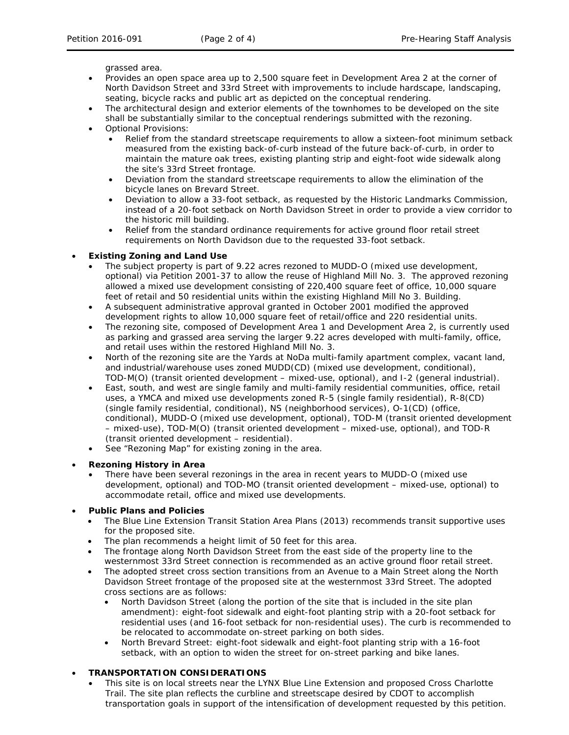grassed area.

- Provides an open space area up to 2,500 square feet in Development Area 2 at the corner of North Davidson Street and 33rd Street with improvements to include hardscape, landscaping, seating, bicycle racks and public art as depicted on the conceptual rendering.
- The architectural design and exterior elements of the townhomes to be developed on the site shall be substantially similar to the conceptual renderings submitted with the rezoning.
- Optional Provisions:
	- Relief from the standard streetscape requirements to allow a sixteen-foot minimum setback measured from the existing back-of-curb instead of the future back-of-curb, in order to maintain the mature oak trees, existing planting strip and eight-foot wide sidewalk along the site's 33rd Street frontage.
	- Deviation from the standard streetscape requirements to allow the elimination of the bicycle lanes on Brevard Street.
	- Deviation to allow a 33-foot setback, as requested by the Historic Landmarks Commission, instead of a 20-foot setback on North Davidson Street in order to provide a view corridor to the historic mill building.
	- Relief from the standard ordinance requirements for active ground floor retail street requirements on North Davidson due to the requested 33-foot setback.

#### • **Existing Zoning and Land Use**

- The subject property is part of 9.22 acres rezoned to MUDD-O (mixed use development, optional) via Petition 2001-37 to allow the reuse of Highland Mill No. 3. The approved rezoning allowed a mixed use development consisting of 220,400 square feet of office, 10,000 square feet of retail and 50 residential units within the existing Highland Mill No 3. Building.
- A subsequent administrative approval granted in October 2001 modified the approved development rights to allow 10,000 square feet of retail/office and 220 residential units.
- The rezoning site, composed of Development Area 1 and Development Area 2, is currently used as parking and grassed area serving the larger 9.22 acres developed with multi-family, office, and retail uses within the restored Highland Mill No. 3.
- North of the rezoning site are the Yards at NoDa multi-family apartment complex, vacant land, and industrial/warehouse uses zoned MUDD(CD) (mixed use development, conditional), TOD-M(O) (transit oriented development – mixed-use, optional), and I-2 (general industrial).
- East, south, and west are single family and multi-family residential communities, office, retail uses, a YMCA and mixed use developments zoned R-5 (single family residential), R-8(CD) (single family residential, conditional), NS (neighborhood services), O-1(CD) (office, conditional), MUDD-O (mixed use development, optional), TOD-M (transit oriented development – mixed-use), TOD-M(O) (transit oriented development – mixed-use, optional), and TOD-R (transit oriented development – residential).
- See "Rezoning Map" for existing zoning in the area.

### • **Rezoning History in Area**

There have been several rezonings in the area in recent years to MUDD-O (mixed use development, optional) and TOD-MO (transit oriented development – mixed-use, optional) to accommodate retail, office and mixed use developments.

### • **Public Plans and Policies**

- The *Blue Line Extension Transit Station Area Plans* (2013) recommends transit supportive uses for the proposed site.
- The plan recommends a height limit of 50 feet for this area.
- The frontage along North Davidson Street from the east side of the property line to the westernmost 33rd Street connection is recommended as an active ground floor retail street.
- The adopted street cross section transitions from an Avenue to a Main Street along the North Davidson Street frontage of the proposed site at the westernmost 33rd Street. The adopted cross sections are as follows:
	- North Davidson Street (along the portion of the site that is included in the site plan amendment): eight-foot sidewalk and eight-foot planting strip with a 20-foot setback for residential uses (and 16-foot setback for non-residential uses). The curb is recommended to be relocated to accommodate on-street parking on both sides.
	- North Brevard Street: eight-foot sidewalk and eight-foot planting strip with a 16-foot setback, with an option to widen the street for on-street parking and bike lanes.

# • **TRANSPORTATION CONSIDERATIONS**

This site is on local streets near the LYNX Blue Line Extension and proposed Cross Charlotte Trail. The site plan reflects the curbline and streetscape desired by CDOT to accomplish transportation goals in support of the intensification of development requested by this petition.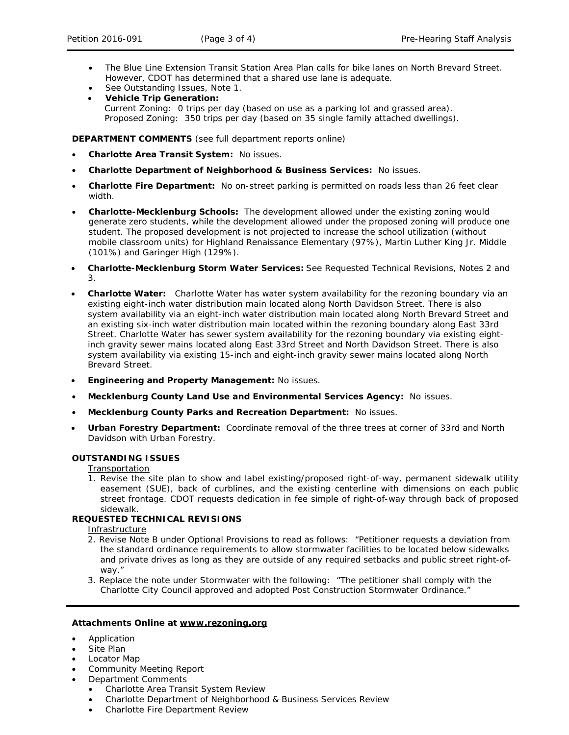- The *Blue Line Extension Transit Station Area Plan* calls for bike lanes on North Brevard Street. However, CDOT has determined that a shared use lane is adequate.
- See Outstanding Issues, Note 1.
- **Vehicle Trip Generation:** Current Zoning: 0 trips per day (based on use as a parking lot and grassed area). Proposed Zoning: 350 trips per day (based on 35 single family attached dwellings).

**DEPARTMENT COMMENTS** (see full department reports online)

- **Charlotte Area Transit System:** No issues.
- **Charlotte Department of Neighborhood & Business Services:** No issues.
- **Charlotte Fire Department:** No on-street parking is permitted on roads less than 26 feet clear width.
- **Charlotte-Mecklenburg Schools:** The development allowed under the existing zoning would generate zero students, while the development allowed under the proposed zoning will produce one student. The proposed development is not projected to increase the school utilization (without mobile classroom units) for Highland Renaissance Elementary (97%), Martin Luther King Jr. Middle (101%) and Garinger High (129%).
- **Charlotte-Mecklenburg Storm Water Services:** See Requested Technical Revisions, Notes 2 and 3.
- **Charlotte Water:** Charlotte Water has water system availability for the rezoning boundary via an existing eight-inch water distribution main located along North Davidson Street. There is also system availability via an eight-inch water distribution main located along North Brevard Street and an existing six-inch water distribution main located within the rezoning boundary along East 33rd Street. Charlotte Water has sewer system availability for the rezoning boundary via existing eightinch gravity sewer mains located along East 33rd Street and North Davidson Street. There is also system availability via existing 15-inch and eight-inch gravity sewer mains located along North Brevard Street.
- **Engineering and Property Management:** No issues.
- **Mecklenburg County Land Use and Environmental Services Agency:** No issues.
- **Mecklenburg County Parks and Recreation Department:** No issues.
- **Urban Forestry Department:** Coordinate removal of the three trees at corner of 33rd and North Davidson with Urban Forestry.

### **OUTSTANDING ISSUES**

**Transportation** 

1. Revise the site plan to show and label existing/proposed right-of-way, permanent sidewalk utility easement (SUE), back of curblines, and the existing centerline with dimensions on each public street frontage. CDOT requests dedication in fee simple of right-of-way through back of proposed sidewalk.

### **REQUESTED TECHNICAL REVISIONS**

**Infrastructure** 

- 2. Revise Note B under Optional Provisions to read as follows: "Petitioner requests a deviation from the standard ordinance requirements to allow stormwater facilities to be located below sidewalks and private drives as long as they are outside of any required setbacks and public street right-ofway."
- 3. Replace the note under Stormwater with the following: "The petitioner shall comply with the Charlotte City Council approved and adopted Post Construction Stormwater Ordinance."

### **Attachments Online at www.rezoning.org**

- Application
- Site Plan
- Locator Map
- Community Meeting Report
- Department Comments
	- Charlotte Area Transit System Review
	- Charlotte Department of Neighborhood & Business Services Review
	- Charlotte Fire Department Review